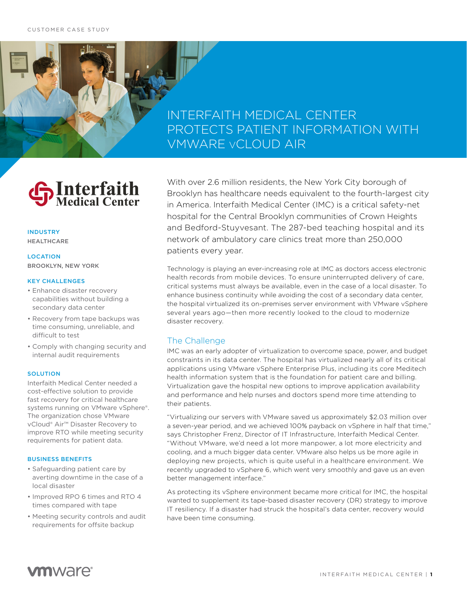# **INTERFAITH MEDICAL CENTER** PROTECTS PATIENT INFORMATION WITH **VMWARE vCLOUD AIR**

# **S**Interfaith

## **INDUSTRY HEALTHCARE**

## **LOCATION BROOKLYN, NEW YORK**

### **KEY CHALLENGES**

- · Enhance disaster recovery capabilities without building a secondary data center
- Recovery from tape backups was time consuming, unreliable, and difficult to test
- Comply with changing security and internal audit requirements

## **SOLUTION**

Interfaith Medical Center needed a cost-effective solution to provide fast recovery for critical healthcare systems running on VMware vSphere®. The organization chose VMware vCloud® Air<sup>™</sup> Disaster Recovery to improve RTO while meeting security requirements for patient data.

#### **BUSINESS BENEFITS**

- · Safeguarding patient care by averting downtime in the case of a local disaster
- . Improved RPO 6 times and RTO 4 times compared with tape
- Meeting security controls and audit requirements for offsite backup

With over 2.6 million residents, the New York City borough of Brooklyn has healthcare needs equivalent to the fourth-largest city in America. Interfaith Medical Center (IMC) is a critical safety-net hospital for the Central Brooklyn communities of Crown Heights and Bedford-Stuyvesant. The 287-bed teaching hospital and its network of ambulatory care clinics treat more than 250,000 patients every year.

Technology is playing an ever-increasing role at IMC as doctors access electronic health records from mobile devices. To ensure uninterrupted delivery of care, critical systems must always be available, even in the case of a local disaster. To enhance business continuity while avoiding the cost of a secondary data center, the hospital virtualized its on-premises server environment with VMware vSphere several years ago-then more recently looked to the cloud to modernize disaster recovery.

# The Challenge

IMC was an early adopter of virtualization to overcome space, power, and budget constraints in its data center. The hospital has virtualized nearly all of its critical applications using VMware vSphere Enterprise Plus, including its core Meditech health information system that is the foundation for patient care and billing. Virtualization gave the hospital new options to improve application availability and performance and help nurses and doctors spend more time attending to their patients.

"Virtualizing our servers with VMware saved us approximately \$2.03 million over a seven-year period, and we achieved 100% payback on vSphere in half that time," says Christopher Frenz, Director of IT Infrastructure, Interfaith Medical Center. "Without VMware, we'd need a lot more manpower, a lot more electricity and cooling, and a much bigger data center. VMware also helps us be more agile in deploying new projects, which is quite useful in a healthcare environment. We recently upgraded to vSphere 6, which went very smoothly and gave us an even better management interface."

As protecting its vSphere environment became more critical for IMC, the hospital wanted to supplement its tape-based disaster recovery (DR) strategy to improve IT resiliency. If a disaster had struck the hospital's data center, recovery would have been time consuming.

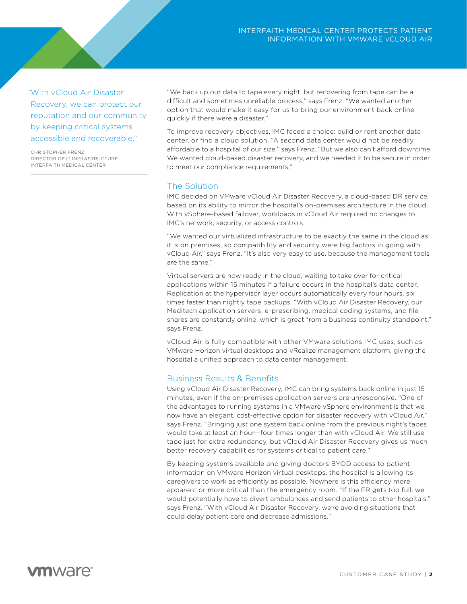"With vCloud Air Disaster Recovery, we can protect our reputation and our community by keeping critical systems accessible and recoverable."

CHRISTOPHER ERENZ DIRECTOR OF IT INFRASTRUCTURE INTERFAITH MEDICAL CENTER

"We back up our data to tape every night, but recovering from tape can be a difficult and sometimes unreliable process," says Frenz. "We wanted another option that would make it easy for us to bring our environment back online quickly if there were a disaster."

To improve recovery objectives, IMC faced a choice: build or rent another data center, or find a cloud solution. "A second data center would not be readily affordable to a hospital of our size," says Frenz. "But we also can't afford downtime. We wanted cloud-based disaster recovery, and we needed it to be secure in order to meet our compliance requirements."

# The Solution

IMC decided on VMware vCloud Air Disaster Recovery, a cloud-based DR service, based on its ability to mirror the hospital's on-premises architecture in the cloud. With vSphere-based failover, workloads in vCloud Air required no changes to IMC's network, security, or access controls.

"We wanted our virtualized infrastructure to be exactly the same in the cloud as it is on premises, so compatibility and security were big factors in going with vCloud Air," says Frenz. "It's also very easy to use, because the management tools are the same."

Virtual servers are now ready in the cloud, waiting to take over for critical applications within 15 minutes if a failure occurs in the hospital's data center. Replication at the hypervisor layer occurs automatically every four hours, six times faster than nightly tape backups. "With yCloud Air Disaster Recovery, our Meditech application servers, e-prescribing, medical coding systems, and file shares are constantly online, which is great from a business continuity standpoint," says Frenz.

vCloud Air is fully compatible with other VMware solutions IMC uses, such as VMware Horizon virtual desktops and vRealize management platform, giving the hospital a unified approach to data center management.

# **Business Results & Benefits**

Using vCloud Air Disaster Recovery, IMC can bring systems back online in just 15 minutes, even if the on-premises application servers are unresponsive. "One of the advantages to running systems in a VMware vSphere environment is that we now have an elegant, cost-effective option for disaster recovery with vCloud Air," says Frenz. "Bringing just one system back online from the previous night's tapes would take at least an hour-four times longer than with vCloud Air. We still use tape just for extra redundancy, but vCloud Air Disaster Recovery gives us much better recovery capabilities for systems critical to patient care."

By keeping systems available and giving doctors BYOD access to patient information on VMware Horizon virtual desktops, the hospital is allowing its caregivers to work as efficiently as possible. Nowhere is this efficiency more apparent or more critical than the emergency room. "If the ER gets too full, we would potentially have to divert ambulances and send patients to other hospitals," says Frenz. "With vCloud Air Disaster Recovery, we're avoiding situations that could delay patient care and decrease admissions."

# **vm**ware<sup>®</sup>